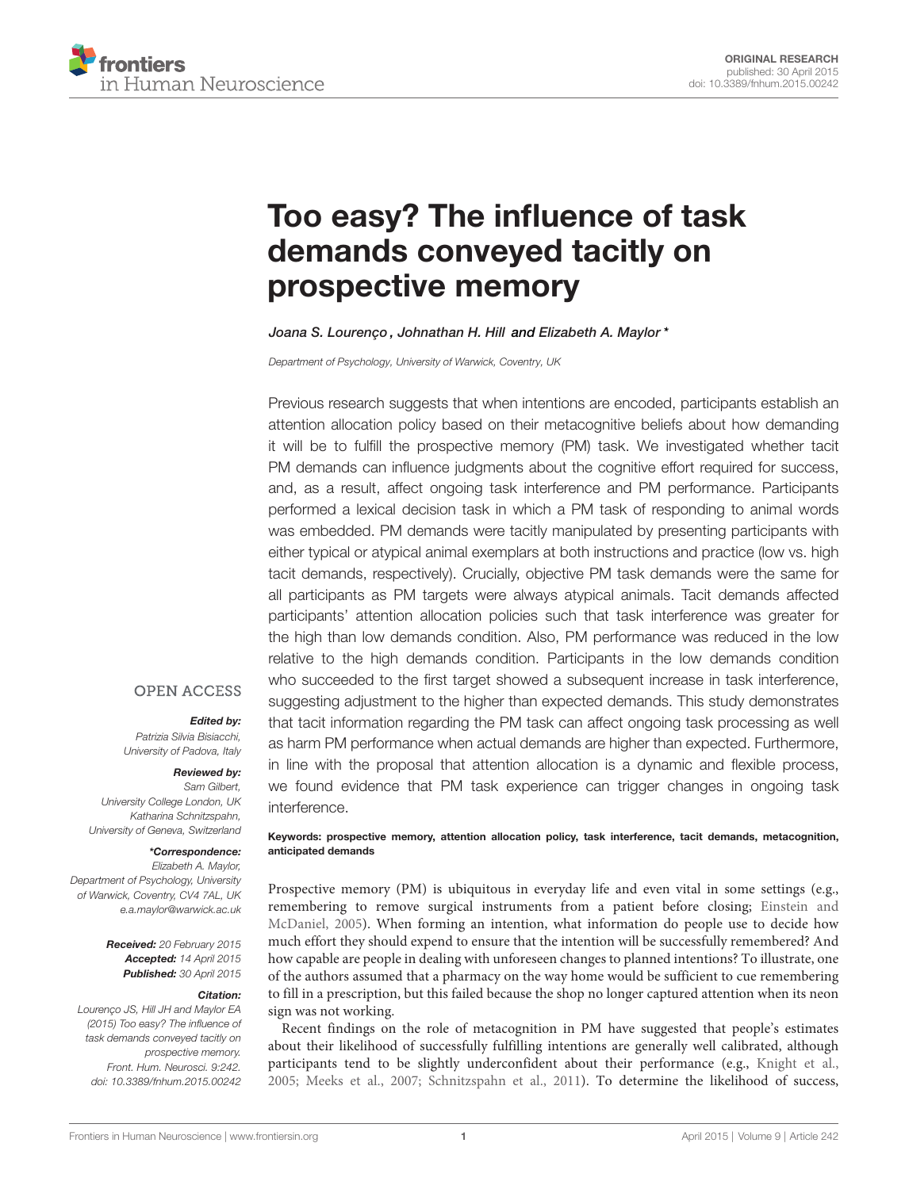

# [Too easy? The influence of task](http://journal.frontiersin.org/article/10.3389/fnhum.2015.00242/abstract) [demands conveyed tacitly on](http://journal.frontiersin.org/article/10.3389/fnhum.2015.00242/abstract) [prospective memory](http://journal.frontiersin.org/article/10.3389/fnhum.2015.00242/abstract)

[Joana S. Lourenço](http://community.frontiersin.org/people/u/218686) , Johnathan H. Hill and [Elizabeth A. Maylor](http://community.frontiersin.org/people/u/32043)\*

Department of Psychology, University of Warwick, Coventry, UK

Previous research suggests that when intentions are encoded, participants establish an attention allocation policy based on their metacognitive beliefs about how demanding it will be to fulfill the prospective memory (PM) task. We investigated whether tacit PM demands can influence judgments about the cognitive effort required for success, and, as a result, affect ongoing task interference and PM performance. Participants performed a lexical decision task in which a PM task of responding to animal words was embedded. PM demands were tacitly manipulated by presenting participants with either typical or atypical animal exemplars at both instructions and practice (low vs. high tacit demands, respectively). Crucially, objective PM task demands were the same for all participants as PM targets were always atypical animals. Tacit demands affected participants' attention allocation policies such that task interference was greater for the high than low demands condition. Also, PM performance was reduced in the low relative to the high demands condition. Participants in the low demands condition who succeeded to the first target showed a subsequent increase in task interference, suggesting adjustment to the higher than expected demands. This study demonstrates that tacit information regarding the PM task can affect ongoing task processing as well as harm PM performance when actual demands are higher than expected. Furthermore, in line with the proposal that attention allocation is a dynamic and flexible process, we found evidence that PM task experience can trigger changes in ongoing task interference.

## **OPEN ACCESS**

#### Edited by:

Patrizia Silvia Bisiacchi, University of Padova, Italy

#### Reviewed by:

Sam Gilbert, University College London, UK Katharina Schnitzspahn, University of Geneva, Switzerland

#### \*Correspondence:

Elizabeth A. Maylor, Department of Psychology, University of Warwick, Coventry, CV4 7AL, UK [e.a.maylor@warwick.ac.uk](mailto:e.a.maylor@warwick.ac.uk)

> Received: 20 February 2015 Accepted: 14 April 2015 Published: 30 April 2015

#### Citation:

Lourenço JS, Hill JH and Maylor EA (2015) Too easy? The influence of task demands conveyed tacitly on prospective memory. Front. Hum. Neurosci. 9:242. [doi: 10.3389/fnhum.2015.00242](http://dx.doi.org/10.3389/fnhum.2015.00242)

#### Keywords: prospective memory, attention allocation policy, task interference, tacit demands, metacognition, anticipated demands

Prospective memory (PM) is ubiquitous in everyday life and even vital in some settings (e.g., remembering to remove surgical instruments from a patient before closing; [Einstein and](#page-5-0) [McDaniel, 2005\)](#page-5-0). When forming an intention, what information do people use to decide how much effort they should expend to ensure that the intention will be successfully remembered? And how capable are people in dealing with unforeseen changes to planned intentions? To illustrate, one of the authors assumed that a pharmacy on the way home would be sufficient to cue remembering to fill in a prescription, but this failed because the shop no longer captured attention when its neon sign was not working.

Recent findings on the role of metacognition in PM have suggested that people's estimates about their likelihood of successfully fulfilling intentions are generally well calibrated, although participants tend to be slightly underconfident about their performance (e.g., [Knight et al.,](#page-5-1) [2005;](#page-5-1) [Meeks et al., 2007;](#page-5-2) [Schnitzspahn et al., 2011\)](#page-5-3). To determine the likelihood of success,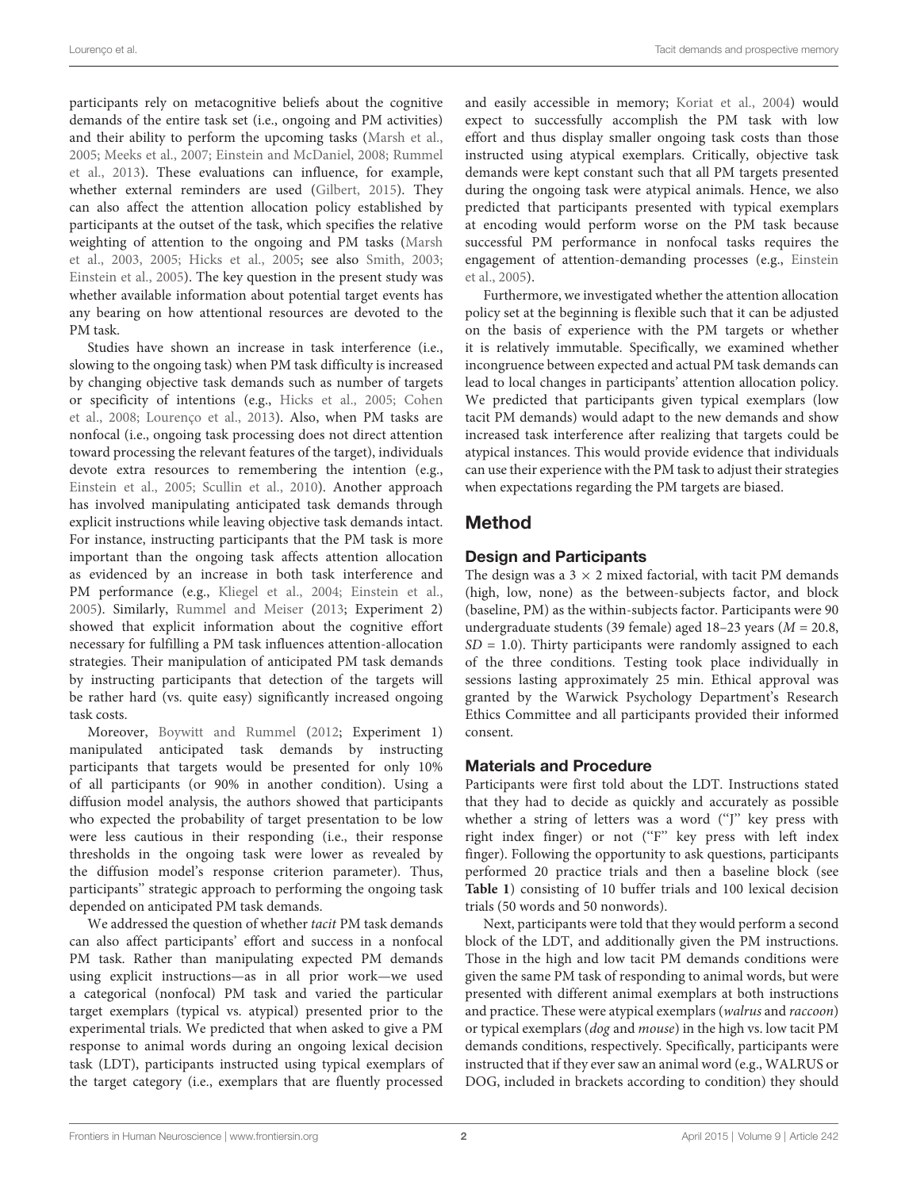participants rely on metacognitive beliefs about the cognitive demands of the entire task set (i.e., ongoing and PM activities) and their ability to perform the upcoming tasks [\(Marsh et al.,](#page-5-4) [2005;](#page-5-4) [Meeks et al.,](#page-5-2) [2007;](#page-5-2) [Einstein and McDaniel,](#page-5-5) [2008;](#page-5-5) [Rummel](#page-5-6) [et al.,](#page-5-6) [2013\)](#page-5-6). These evaluations can influence, for example, whether external reminders are used [\(Gilbert,](#page-5-7) [2015\)](#page-5-7). They can also affect the attention allocation policy established by participants at the outset of the task, which specifies the relative weighting of attention to the ongoing and PM tasks [\(Marsh](#page-5-8) [et al.,](#page-5-8) [2003,](#page-5-8) [2005;](#page-5-4) [Hicks et al.,](#page-5-9) [2005;](#page-5-9) see also [Smith,](#page-5-10) [2003;](#page-5-10) [Einstein et al.,](#page-5-11) [2005\)](#page-5-11). The key question in the present study was whether available information about potential target events has any bearing on how attentional resources are devoted to the PM task.

Studies have shown an increase in task interference (i.e., slowing to the ongoing task) when PM task difficulty is increased by changing objective task demands such as number of targets or specificity of intentions (e.g., [Hicks et al.,](#page-5-9) [2005;](#page-5-9) [Cohen](#page-5-12) [et al.,](#page-5-12) [2008;](#page-5-12) [Lourenço et al.,](#page-5-13) [2013\)](#page-5-13). Also, when PM tasks are nonfocal (i.e., ongoing task processing does not direct attention toward processing the relevant features of the target), individuals devote extra resources to remembering the intention (e.g., [Einstein et al.,](#page-5-11) [2005;](#page-5-11) [Scullin et al.,](#page-5-14) [2010\)](#page-5-14). Another approach has involved manipulating anticipated task demands through explicit instructions while leaving objective task demands intact. For instance, instructing participants that the PM task is more important than the ongoing task affects attention allocation as evidenced by an increase in both task interference and PM performance (e.g., [Kliegel et al.,](#page-5-15) [2004;](#page-5-15) [Einstein et al.,](#page-5-11) [2005\)](#page-5-11). Similarly, [Rummel and Meiser](#page-5-16) [\(2013;](#page-5-16) Experiment 2) showed that explicit information about the cognitive effort necessary for fulfilling a PM task influences attention-allocation strategies. Their manipulation of anticipated PM task demands by instructing participants that detection of the targets will be rather hard (vs. quite easy) significantly increased ongoing task costs.

Moreover, [Boywitt and Rummel](#page-5-17) [\(2012;](#page-5-17) Experiment 1) manipulated anticipated task demands by instructing participants that targets would be presented for only 10% of all participants (or 90% in another condition). Using a diffusion model analysis, the authors showed that participants who expected the probability of target presentation to be low were less cautious in their responding (i.e., their response thresholds in the ongoing task were lower as revealed by the diffusion model's response criterion parameter). Thus, participants'' strategic approach to performing the ongoing task depended on anticipated PM task demands.

We addressed the question of whether tacit PM task demands can also affect participants' effort and success in a nonfocal PM task. Rather than manipulating expected PM demands using explicit instructions—as in all prior work—we used a categorical (nonfocal) PM task and varied the particular target exemplars (typical vs. atypical) presented prior to the experimental trials. We predicted that when asked to give a PM response to animal words during an ongoing lexical decision task (LDT), participants instructed using typical exemplars of the target category (i.e., exemplars that are fluently processed and easily accessible in memory; [Koriat et al.,](#page-5-18) [2004\)](#page-5-18) would expect to successfully accomplish the PM task with low effort and thus display smaller ongoing task costs than those instructed using atypical exemplars. Critically, objective task demands were kept constant such that all PM targets presented during the ongoing task were atypical animals. Hence, we also predicted that participants presented with typical exemplars at encoding would perform worse on the PM task because successful PM performance in nonfocal tasks requires the engagement of attention-demanding processes (e.g., [Einstein](#page-5-11) [et al.,](#page-5-11) [2005\)](#page-5-11).

Furthermore, we investigated whether the attention allocation policy set at the beginning is flexible such that it can be adjusted on the basis of experience with the PM targets or whether it is relatively immutable. Specifically, we examined whether incongruence between expected and actual PM task demands can lead to local changes in participants' attention allocation policy. We predicted that participants given typical exemplars (low tacit PM demands) would adapt to the new demands and show increased task interference after realizing that targets could be atypical instances. This would provide evidence that individuals can use their experience with the PM task to adjust their strategies when expectations regarding the PM targets are biased.

## Method

## Design and Participants

The design was a  $3 \times 2$  mixed factorial, with tacit PM demands (high, low, none) as the between-subjects factor, and block (baseline, PM) as the within-subjects factor. Participants were 90 undergraduate students (39 female) aged  $18-23$  years ( $M = 20.8$ ,  $SD = 1.0$ ). Thirty participants were randomly assigned to each of the three conditions. Testing took place individually in sessions lasting approximately 25 min. Ethical approval was granted by the Warwick Psychology Department's Research Ethics Committee and all participants provided their informed consent.

## Materials and Procedure

Participants were first told about the LDT. Instructions stated that they had to decide as quickly and accurately as possible whether a string of letters was a word ("J" key press with right index finger) or not ("F" key press with left index finger). Following the opportunity to ask questions, participants performed 20 practice trials and then a baseline block (see **[Table 1](#page-2-0)**) consisting of 10 buffer trials and 100 lexical decision trials (50 words and 50 nonwords).

Next, participants were told that they would perform a second block of the LDT, and additionally given the PM instructions. Those in the high and low tacit PM demands conditions were given the same PM task of responding to animal words, but were presented with different animal exemplars at both instructions and practice. These were atypical exemplars (walrus and raccoon) or typical exemplars (dog and mouse) in the high vs. low tacit PM demands conditions, respectively. Specifically, participants were instructed that if they ever saw an animal word (e.g., WALRUS or DOG, included in brackets according to condition) they should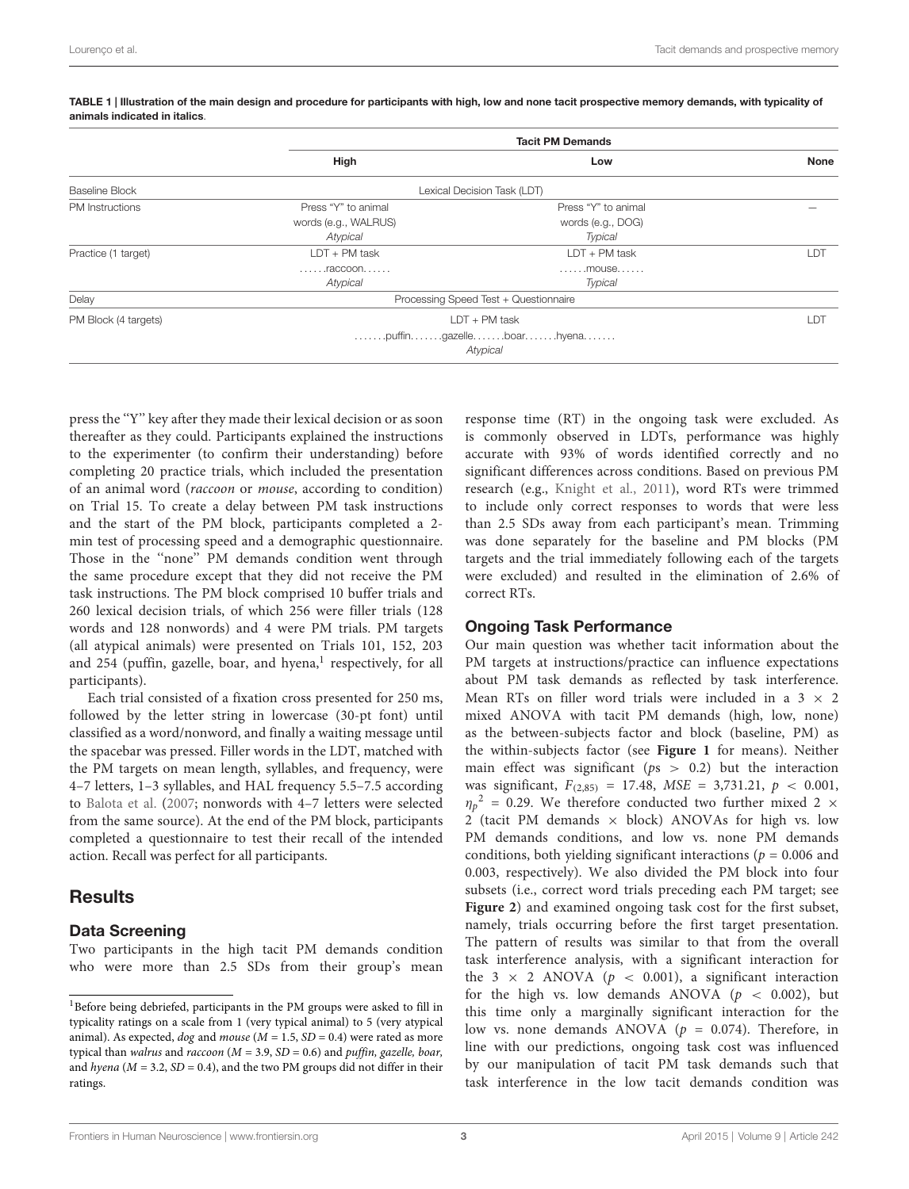|                        | <b>Tacit PM Demands</b>                                                                           |                     |             |
|------------------------|---------------------------------------------------------------------------------------------------|---------------------|-------------|
|                        | High                                                                                              | Low                 | <b>None</b> |
| Baseline Block         | Lexical Decision Task (LDT)                                                                       |                     |             |
| <b>PM</b> Instructions | Press "Y" to animal                                                                               | Press "Y" to animal |             |
|                        | words (e.g., WALRUS)                                                                              | words (e.g., DOG)   |             |
|                        | Atypical                                                                                          | Typical             |             |
| Practice (1 target)    | $LDT + PM$ task                                                                                   | $LDT + PM$ task     | LDT         |
|                        | $\ldots \ldots$ raccoon                                                                           | $\ldots$ mouse      |             |
|                        | Atypical                                                                                          | Typical             |             |
| Delay                  | Processing Speed Test + Questionnaire                                                             |                     |             |
| PM Block (4 targets)   | $LDT + PM$ task                                                                                   |                     | LDT         |
|                        | $\dots\dots$ .puffin $\dots\dots$ .gazelle $\dots\dots$ .boar $\dots\dots$ .hyena. $\dots\dots$ . |                     |             |
|                        | Atypical                                                                                          |                     |             |
|                        |                                                                                                   |                     |             |

<span id="page-2-0"></span>TABLE 1 | Illustration of the main design and procedure for participants with high, low and none tacit prospective memory demands, with typicality of animals indicated in italics.

press the ''Y'' key after they made their lexical decision or as soon thereafter as they could. Participants explained the instructions to the experimenter (to confirm their understanding) before completing 20 practice trials, which included the presentation of an animal word (raccoon or mouse, according to condition) on Trial 15. To create a delay between PM task instructions and the start of the PM block, participants completed a 2 min test of processing speed and a demographic questionnaire. Those in the "none" PM demands condition went through the same procedure except that they did not receive the PM task instructions. The PM block comprised 10 buffer trials and 260 lexical decision trials, of which 256 were filler trials (128 words and 128 nonwords) and 4 were PM trials. PM targets (all atypical animals) were presented on Trials 101, 152, 203 and 254 (puffin, gazelle, boar, and hyena,<sup>[1](#page-2-1)</sup> respectively, for all participants).

Each trial consisted of a fixation cross presented for 250 ms, followed by the letter string in lowercase (30-pt font) until classified as a word/nonword, and finally a waiting message until the spacebar was pressed. Filler words in the LDT, matched with the PM targets on mean length, syllables, and frequency, were 4–7 letters, 1–3 syllables, and HAL frequency 5.5–7.5 according to [Balota et al.](#page-5-19) [\(2007;](#page-5-19) nonwords with 4–7 letters were selected from the same source). At the end of the PM block, participants completed a questionnaire to test their recall of the intended action. Recall was perfect for all participants.

## **Results**

#### Data Screening

Two participants in the high tacit PM demands condition who were more than 2.5 SDs from their group's mean

response time (RT) in the ongoing task were excluded. As is commonly observed in LDTs, performance was highly accurate with 93% of words identified correctly and no significant differences across conditions. Based on previous PM research (e.g., [Knight et al.,](#page-5-20) [2011\)](#page-5-20), word RTs were trimmed to include only correct responses to words that were less than 2.5 SDs away from each participant's mean. Trimming was done separately for the baseline and PM blocks (PM targets and the trial immediately following each of the targets were excluded) and resulted in the elimination of 2.6% of correct RTs.

#### Ongoing Task Performance

Our main question was whether tacit information about the PM targets at instructions/practice can influence expectations about PM task demands as reflected by task interference. Mean RTs on filler word trials were included in a  $3 \times 2$ mixed ANOVA with tacit PM demands (high, low, none) as the between-subjects factor and block (baseline, PM) as the within-subjects factor (see **[Figure 1](#page-3-0)** for means). Neither main effect was significant ( $ps > 0.2$ ) but the interaction was significant,  $F_{(2,85)} = 17.48$ ,  $MSE = 3,731.21$ ,  $p < 0.001$ ,  $\eta_p^2$  = 0.29. We therefore conducted two further mixed 2  $\times$ 2 (tacit PM demands  $\times$  block) ANOVAs for high vs. low PM demands conditions, and low vs. none PM demands conditions, both yielding significant interactions ( $p = 0.006$  and 0.003, respectively). We also divided the PM block into four subsets (i.e., correct word trials preceding each PM target; see **[Figure 2](#page-3-1)**) and examined ongoing task cost for the first subset, namely, trials occurring before the first target presentation. The pattern of results was similar to that from the overall task interference analysis, with a significant interaction for the 3  $\times$  2 ANOVA ( $p < 0.001$ ), a significant interaction for the high vs. low demands ANOVA ( $p < 0.002$ ), but this time only a marginally significant interaction for the low vs. none demands ANOVA ( $p = 0.074$ ). Therefore, in line with our predictions, ongoing task cost was influenced by our manipulation of tacit PM task demands such that task interference in the low tacit demands condition was

<span id="page-2-1"></span><sup>&</sup>lt;sup>1</sup>Before being debriefed, participants in the PM groups were asked to fill in typicality ratings on a scale from 1 (very typical animal) to 5 (very atypical animal). As expected, dog and mouse ( $M = 1.5$ ,  $SD = 0.4$ ) were rated as more typical than walrus and raccoon ( $M = 3.9$ ,  $SD = 0.6$ ) and puffin, gazelle, boar, and hyena ( $M = 3.2$ ,  $SD = 0.4$ ), and the two PM groups did not differ in their ratings.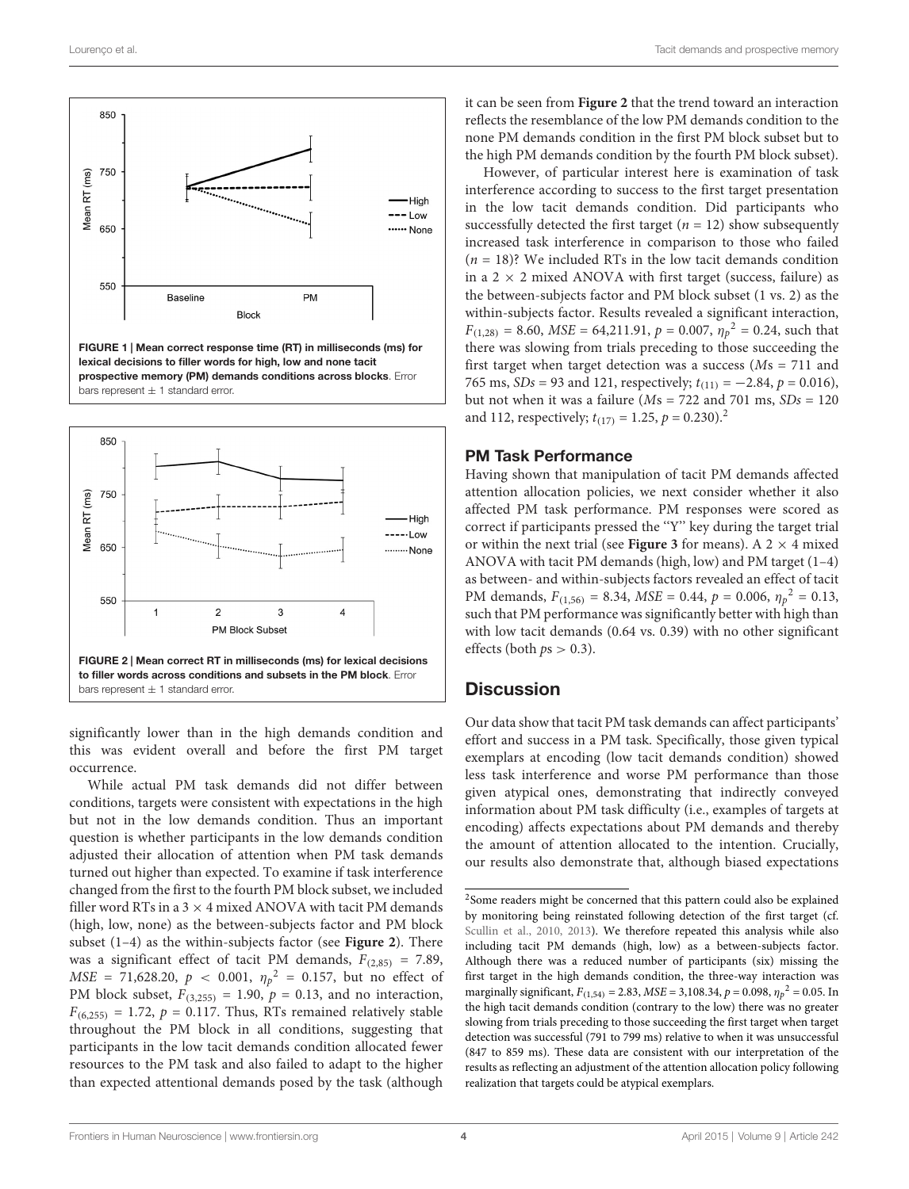

<span id="page-3-0"></span>

<span id="page-3-1"></span>significantly lower than in the high demands condition and this was evident overall and before the first PM target occurrence.

While actual PM task demands did not differ between conditions, targets were consistent with expectations in the high but not in the low demands condition. Thus an important question is whether participants in the low demands condition adjusted their allocation of attention when PM task demands turned out higher than expected. To examine if task interference changed from the first to the fourth PM block subset, we included filler word RTs in a  $3 \times 4$  mixed ANOVA with tacit PM demands (high, low, none) as the between-subjects factor and PM block subset (1–4) as the within-subjects factor (see **[Figure 2](#page-3-1)**). There was a significant effect of tacit PM demands,  $F_{(2,85)} = 7.89$ ,  $MSE = 71,628.20, p < 0.001, \eta_p^2 = 0.157$ , but no effect of PM block subset,  $F_{(3,255)} = 1.90$ ,  $p = 0.13$ , and no interaction,  $F_{(6,255)} = 1.72$ ,  $p = 0.117$ . Thus, RTs remained relatively stable throughout the PM block in all conditions, suggesting that participants in the low tacit demands condition allocated fewer resources to the PM task and also failed to adapt to the higher than expected attentional demands posed by the task (although it can be seen from **[Figure 2](#page-3-1)** that the trend toward an interaction reflects the resemblance of the low PM demands condition to the none PM demands condition in the first PM block subset but to the high PM demands condition by the fourth PM block subset).

However, of particular interest here is examination of task interference according to success to the first target presentation in the low tacit demands condition. Did participants who successfully detected the first target ( $n = 12$ ) show subsequently increased task interference in comparison to those who failed  $(n = 18)$ ? We included RTs in the low tacit demands condition in a  $2 \times 2$  mixed ANOVA with first target (success, failure) as the between-subjects factor and PM block subset (1 vs. 2) as the within-subjects factor. Results revealed a significant interaction,  $F_{(1,28)} = 8.60$ ,  $MSE = 64,211.91$ ,  $p = 0.007$ ,  $\eta_p^2 = 0.24$ , such that there was slowing from trials preceding to those succeeding the first target when target detection was a success ( $Ms = 711$  and 765 ms,  $SDs = 93$  and 121, respectively;  $t_{(11)} = -2.84$ ,  $p = 0.016$ ), but not when it was a failure ( $Ms = 722$  and 701 ms,  $SDs = 120$ and 11[2](#page-3-2), respectively;  $t_{(17)} = 1.25$ ,  $p = 0.230$ .<sup>2</sup>

#### PM Task Performance

Having shown that manipulation of tacit PM demands affected attention allocation policies, we next consider whether it also affected PM task performance. PM responses were scored as correct if participants pressed the ''Y'' key during the target trial or within the next trial (see **[Figure 3](#page-4-0)** for means). A 2  $\times$  4 mixed ANOVA with tacit PM demands (high, low) and PM target (1–4) as between- and within-subjects factors revealed an effect of tacit PM demands,  $F_{(1,56)} = 8.34$ ,  $MSE = 0.44$ ,  $p = 0.006$ ,  $\eta_p^2 = 0.13$ , such that PM performance was significantly better with high than with low tacit demands (0.64 vs. 0.39) with no other significant effects (both  $ps > 0.3$ ).

## **Discussion**

Our data show that tacit PM task demands can affect participants' effort and success in a PM task. Specifically, those given typical exemplars at encoding (low tacit demands condition) showed less task interference and worse PM performance than those given atypical ones, demonstrating that indirectly conveyed information about PM task difficulty (i.e., examples of targets at encoding) affects expectations about PM demands and thereby the amount of attention allocated to the intention. Crucially, our results also demonstrate that, although biased expectations

<span id="page-3-2"></span><sup>&</sup>lt;sup>2</sup>Some readers might be concerned that this pattern could also be explained by monitoring being reinstated following detection of the first target (cf. [Scullin et al.,](#page-5-14) [2010,](#page-5-14) [2013\)](#page-5-21). We therefore repeated this analysis while also including tacit PM demands (high, low) as a between-subjects factor. Although there was a reduced number of participants (six) missing the first target in the high demands condition, the three-way interaction was marginally significant,  $F_{(1,54)} = 2.83$ ,  $MSE = 3,108.34$ ,  $p = 0.098$ ,  $\eta_p^2 = 0.05$ . In the high tacit demands condition (contrary to the low) there was no greater slowing from trials preceding to those succeeding the first target when target detection was successful (791 to 799 ms) relative to when it was unsuccessful (847 to 859 ms). These data are consistent with our interpretation of the results as reflecting an adjustment of the attention allocation policy following realization that targets could be atypical exemplars.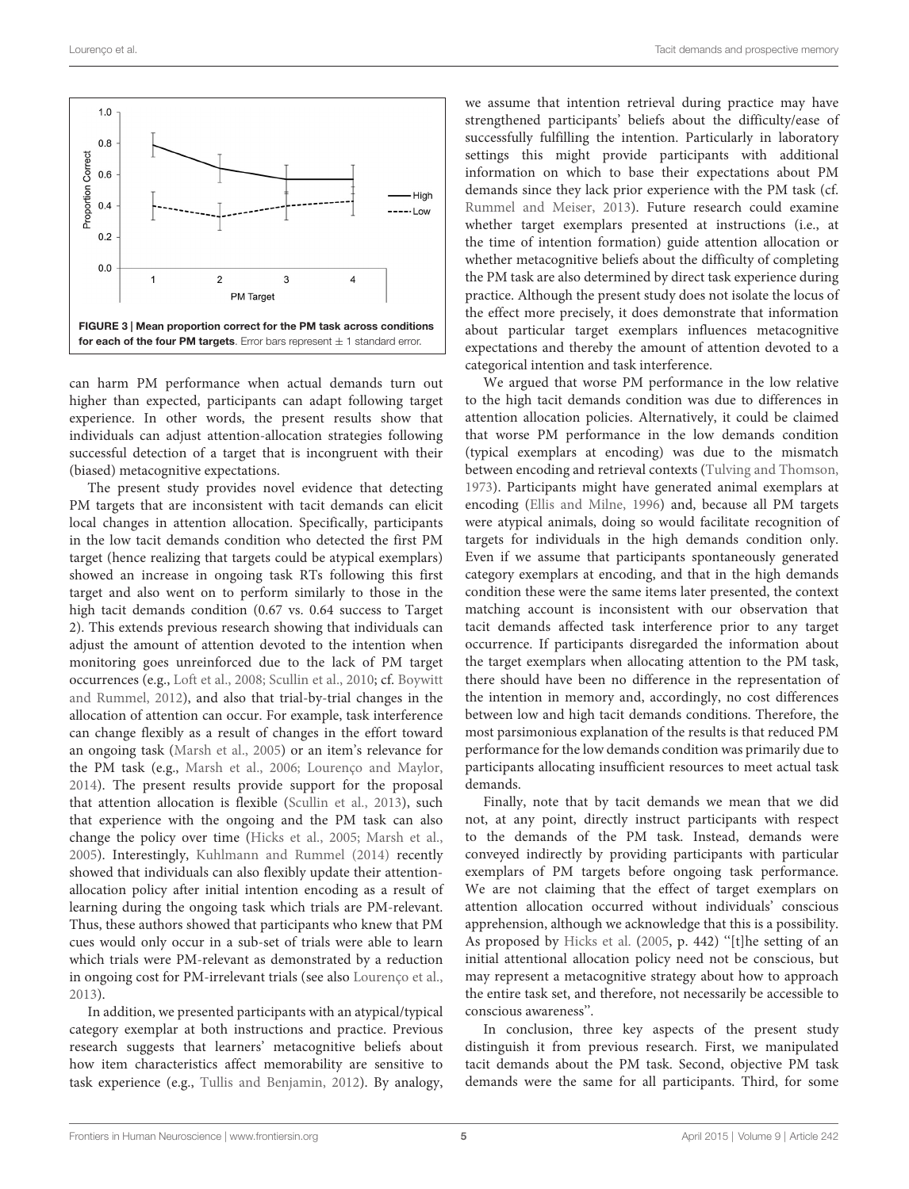

<span id="page-4-0"></span>can harm PM performance when actual demands turn out higher than expected, participants can adapt following target experience. In other words, the present results show that individuals can adjust attention-allocation strategies following successful detection of a target that is incongruent with their (biased) metacognitive expectations.

The present study provides novel evidence that detecting PM targets that are inconsistent with tacit demands can elicit local changes in attention allocation. Specifically, participants in the low tacit demands condition who detected the first PM target (hence realizing that targets could be atypical exemplars) showed an increase in ongoing task RTs following this first target and also went on to perform similarly to those in the high tacit demands condition (0.67 vs. 0.64 success to Target 2). This extends previous research showing that individuals can adjust the amount of attention devoted to the intention when monitoring goes unreinforced due to the lack of PM target occurrences (e.g., [Loft et al.,](#page-5-22) [2008;](#page-5-22) [Scullin et al.,](#page-5-14) [2010;](#page-5-14) cf. [Boywitt](#page-5-17) [and Rummel,](#page-5-17) [2012\)](#page-5-17), and also that trial-by-trial changes in the allocation of attention can occur. For example, task interference can change flexibly as a result of changes in the effort toward an ongoing task [\(Marsh et al.,](#page-5-4) [2005\)](#page-5-4) or an item's relevance for the PM task (e.g., [Marsh et al.,](#page-5-23) [2006;](#page-5-23) [Lourenço and Maylor,](#page-5-24) [2014\)](#page-5-24). The present results provide support for the proposal that attention allocation is flexible [\(Scullin et al.,](#page-5-21) [2013\)](#page-5-21), such that experience with the ongoing and the PM task can also change the policy over time [\(Hicks et al.,](#page-5-9) [2005;](#page-5-9) [Marsh et al.,](#page-5-4) [2005\)](#page-5-4). Interestingly, [Kuhlmann and Rummel](#page-5-25) [\(2014\)](#page-5-25) recently showed that individuals can also flexibly update their attentionallocation policy after initial intention encoding as a result of learning during the ongoing task which trials are PM-relevant. Thus, these authors showed that participants who knew that PM cues would only occur in a sub-set of trials were able to learn which trials were PM-relevant as demonstrated by a reduction in ongoing cost for PM-irrelevant trials (see also [Lourenço et al.,](#page-5-13) [2013\)](#page-5-13).

In addition, we presented participants with an atypical/typical category exemplar at both instructions and practice. Previous research suggests that learners' metacognitive beliefs about how item characteristics affect memorability are sensitive to task experience (e.g., [Tullis and Benjamin,](#page-5-26) [2012\)](#page-5-26). By analogy,

we assume that intention retrieval during practice may have strengthened participants' beliefs about the difficulty/ease of successfully fulfilling the intention. Particularly in laboratory settings this might provide participants with additional information on which to base their expectations about PM demands since they lack prior experience with the PM task (cf. [Rummel and Meiser,](#page-5-16) [2013\)](#page-5-16). Future research could examine whether target exemplars presented at instructions (i.e., at the time of intention formation) guide attention allocation or whether metacognitive beliefs about the difficulty of completing the PM task are also determined by direct task experience during practice. Although the present study does not isolate the locus of the effect more precisely, it does demonstrate that information about particular target exemplars influences metacognitive expectations and thereby the amount of attention devoted to a categorical intention and task interference.

We argued that worse PM performance in the low relative to the high tacit demands condition was due to differences in attention allocation policies. Alternatively, it could be claimed that worse PM performance in the low demands condition (typical exemplars at encoding) was due to the mismatch between encoding and retrieval contexts [\(Tulving and Thomson,](#page-5-27) [1973\)](#page-5-27). Participants might have generated animal exemplars at encoding [\(Ellis and Milne,](#page-5-28) [1996\)](#page-5-28) and, because all PM targets were atypical animals, doing so would facilitate recognition of targets for individuals in the high demands condition only. Even if we assume that participants spontaneously generated category exemplars at encoding, and that in the high demands condition these were the same items later presented, the context matching account is inconsistent with our observation that tacit demands affected task interference prior to any target occurrence. If participants disregarded the information about the target exemplars when allocating attention to the PM task, there should have been no difference in the representation of the intention in memory and, accordingly, no cost differences between low and high tacit demands conditions. Therefore, the most parsimonious explanation of the results is that reduced PM performance for the low demands condition was primarily due to participants allocating insufficient resources to meet actual task demands.

Finally, note that by tacit demands we mean that we did not, at any point, directly instruct participants with respect to the demands of the PM task. Instead, demands were conveyed indirectly by providing participants with particular exemplars of PM targets before ongoing task performance. We are not claiming that the effect of target exemplars on attention allocation occurred without individuals' conscious apprehension, although we acknowledge that this is a possibility. As proposed by [Hicks et al.](#page-5-9) [\(2005,](#page-5-9) p. 442) ''[t]he setting of an initial attentional allocation policy need not be conscious, but may represent a metacognitive strategy about how to approach the entire task set, and therefore, not necessarily be accessible to conscious awareness''.

In conclusion, three key aspects of the present study distinguish it from previous research. First, we manipulated tacit demands about the PM task. Second, objective PM task demands were the same for all participants. Third, for some